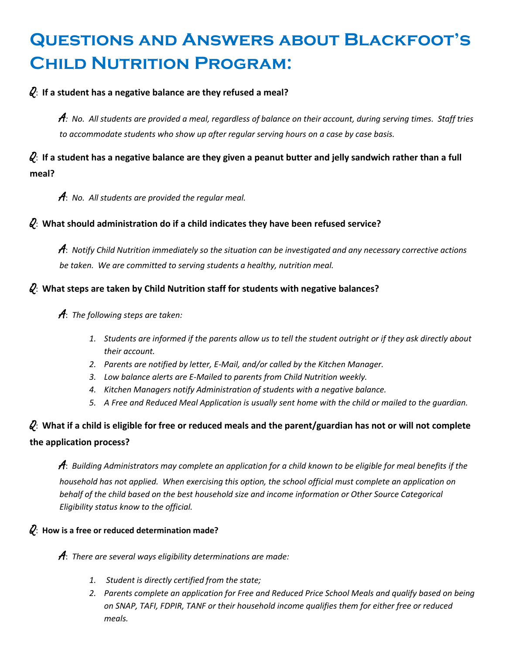# **Questions and Answers about Blackfoot's Child Nutrition Program:**

## Q: **If a student has a negative balance are they refused a meal?**

A*: No. All students are provided a meal, regardless of balance on their account, during serving times. Staff tries to accommodate students who show up after regular serving hours on a case by case basis.* 

## Q: **If a student has a negative balance are they given a peanut butter and jelly sandwich rather than a full meal?**

A: *No. All students are provided the regular meal.*

## Q: **What should administration do if a child indicates they have been refused service?**

A: *Notify Child Nutrition immediately so the situation can be investigated and any necessary corrective actions be taken. We are committed to serving students a healthy, nutrition meal.*

## Q: **What steps are taken by Child Nutrition staff for students with negative balances?**

## A: *The following steps are taken:*

- *1. Students are informed if the parents allow us to tell the student outright or if they ask directly about their account.*
- *2. Parents are notified by letter, E-Mail, and/or called by the Kitchen Manager.*
- *3. Low balance alerts are E-Mailed to parents from Child Nutrition weekly.*
- *4. Kitchen Managers notify Administration of students with a negative balance.*
- *5. A Free and Reduced Meal Application is usually sent home with the child or mailed to the guardian.*

# Q: **What if a child is eligible for free or reduced meals and the parent/guardian has not or will not complete the application process?**

A: *Building Administrators may complete an application for a child known to be eligible for meal benefits if the household has not applied. When exercising this option, the school official must complete an application on behalf of the child based on the best household size and income information or Other Source Categorical Eligibility status know to the official.*

## Q: **How is a free or reduced determination made?**

A: *There are several ways eligibility determinations are made:*

- *1. Student is directly certified from the state;*
- *2. Parents complete an application for Free and Reduced Price School Meals and qualify based on being on SNAP, TAFI, FDPIR, TANF or their household income qualifies them for either free or reduced meals.*